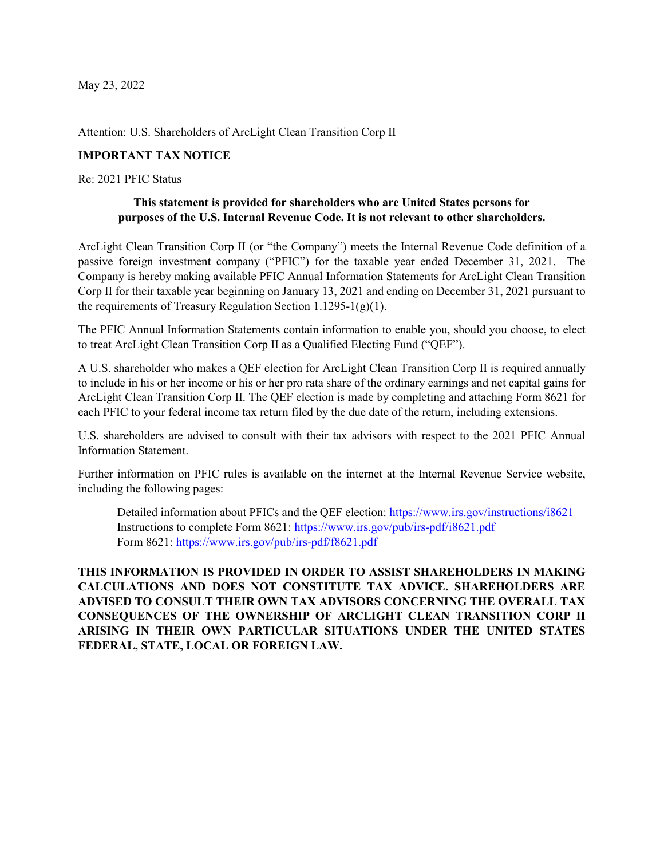May 23, 2022

Attention: U.S. Shareholders of ArcLight Clean Transition Corp II

## **IMPORTANT TAX NOTICE**

Re: 2021 PFIC Status

## **This statement is provided for shareholders who are United States persons for purposes of the U.S. Internal Revenue Code. It is not relevant to other shareholders.**

ArcLight Clean Transition Corp II (or "the Company") meets the Internal Revenue Code definition of a passive foreign investment company ("PFIC") for the taxable year ended December 31, 2021. The Company is hereby making available PFIC Annual Information Statements for ArcLight Clean Transition Corp II for their taxable year beginning on January 13, 2021 and ending on December 31, 2021 pursuant to the requirements of Treasury Regulation Section 1.1295-1(g)(1).

The PFIC Annual Information Statements contain information to enable you, should you choose, to elect to treat ArcLight Clean Transition Corp II as a Qualified Electing Fund ("QEF").

A U.S. shareholder who makes a QEF election for ArcLight Clean Transition Corp II is required annually to include in his or her income or his or her pro rata share of the ordinary earnings and net capital gains for ArcLight Clean Transition Corp II. The QEF election is made by completing and attaching Form 8621 for each PFIC to your federal income tax return filed by the due date of the return, including extensions.

U.S. shareholders are advised to consult with their tax advisors with respect to the 2021 PFIC Annual Information Statement.

Further information on PFIC rules is available on the internet at the Internal Revenue Service website, including the following pages:

Detailed information about PFICs and the QEF election:<https://www.irs.gov/instructions/i8621> Instructions to complete Form 8621:<https://www.irs.gov/pub/irs-pdf/i8621.pdf> Form 8621:<https://www.irs.gov/pub/irs-pdf/f8621.pdf>

**THIS INFORMATION IS PROVIDED IN ORDER TO ASSIST SHAREHOLDERS IN MAKING CALCULATIONS AND DOES NOT CONSTITUTE TAX ADVICE. SHAREHOLDERS ARE ADVISED TO CONSULT THEIR OWN TAX ADVISORS CONCERNING THE OVERALL TAX CONSEQUENCES OF THE OWNERSHIP OF ARCLIGHT CLEAN TRANSITION CORP II ARISING IN THEIR OWN PARTICULAR SITUATIONS UNDER THE UNITED STATES FEDERAL, STATE, LOCAL OR FOREIGN LAW.**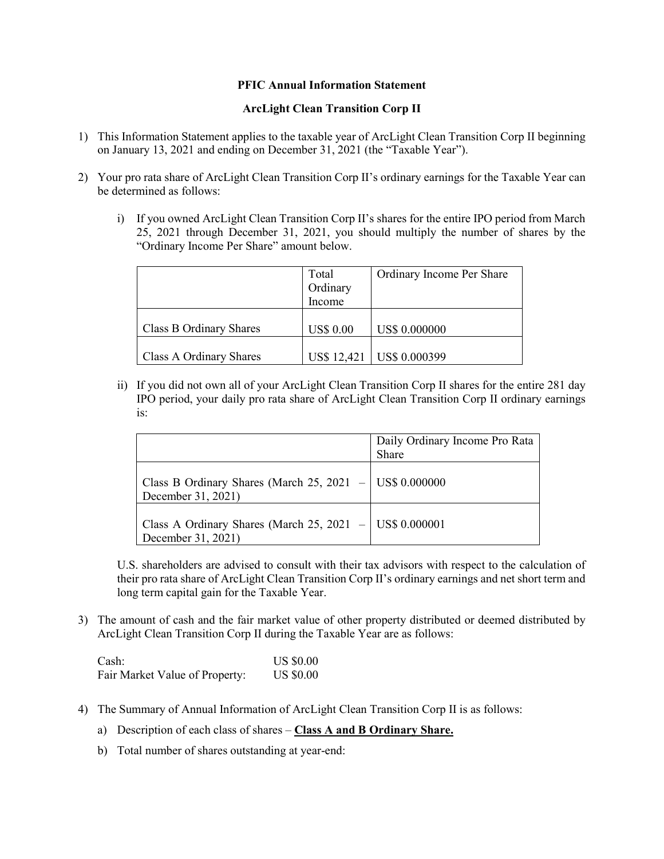## **PFIC Annual Information Statement**

## **ArcLight Clean Transition Corp II**

- 1) This Information Statement applies to the taxable year of ArcLight Clean Transition Corp II beginning on January 13, 2021 and ending on December 31, 2021 (the "Taxable Year").
- 2) Your pro rata share of ArcLight Clean Transition Corp II's ordinary earnings for the Taxable Year can be determined as follows:
	- i) If you owned ArcLight Clean Transition Corp II's shares for the entire IPO period from March 25, 2021 through December 31, 2021, you should multiply the number of shares by the "Ordinary Income Per Share" amount below.

|                         | Total<br>Ordinary | Ordinary Income Per Share   |
|-------------------------|-------------------|-----------------------------|
|                         | Income            |                             |
| Class B Ordinary Shares | <b>US\$ 0.00</b>  | <b>US\$ 0.000000</b>        |
| Class A Ordinary Shares |                   | US\$ 12,421   US\$ 0.000399 |

ii) If you did not own all of your ArcLight Clean Transition Corp II shares for the entire 281 day IPO period, your daily pro rata share of ArcLight Clean Transition Corp II ordinary earnings is:

|                                                                                 | Daily Ordinary Income Pro Rata<br>Share |
|---------------------------------------------------------------------------------|-----------------------------------------|
| Class B Ordinary Shares (March 25, 2021 $-$ US\$ 0.000000<br>December 31, 2021) |                                         |
| Class A Ordinary Shares (March 25, 2021 - US\$ 0.000001<br>December 31, 2021)   |                                         |

U.S. shareholders are advised to consult with their tax advisors with respect to the calculation of their pro rata share of ArcLight Clean Transition Corp II's ordinary earnings and net short term and long term capital gain for the Taxable Year.

3) The amount of cash and the fair market value of other property distributed or deemed distributed by ArcLight Clean Transition Corp II during the Taxable Year are as follows:

Cash: US \$0.00 Fair Market Value of Property: US \$0.00

- 4) The Summary of Annual Information of ArcLight Clean Transition Corp II is as follows:
	- a) Description of each class of shares **Class A and B Ordinary Share.**
	- b) Total number of shares outstanding at year-end: